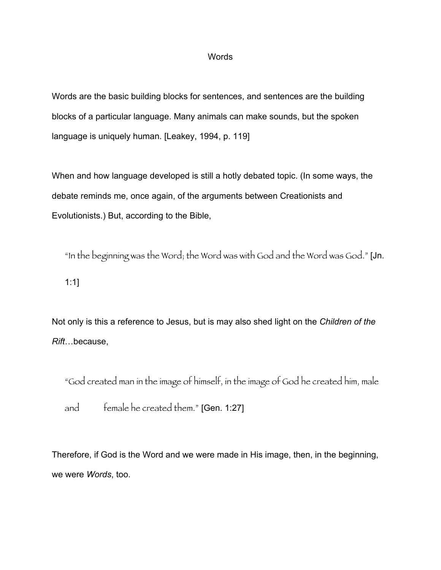## Words

Words are the basic building blocks for sentences, and sentences are the building blocks of a particular language. Many animals can make sounds, but the spoken language is uniquely human. [Leakey, 1994, p. 119]

When and how language developed is still a hotly debated topic. (In some ways, the debate reminds me, once again, of the arguments between Creationists and Evolutionists.) But, according to the Bible,

"In the beginning was the Word; the Word was with God and the Word was God." [Jn. 1:1]

Not only is this a reference to Jesus, but is may also shed light on the *Children of the Rift*…because,

"God created man in the image of himself, in the image of God he created him, male

and female he created them." [Gen. 1:27]

Therefore, if God is the Word and we were made in His image, then, in the beginning, we were *Words*, too.